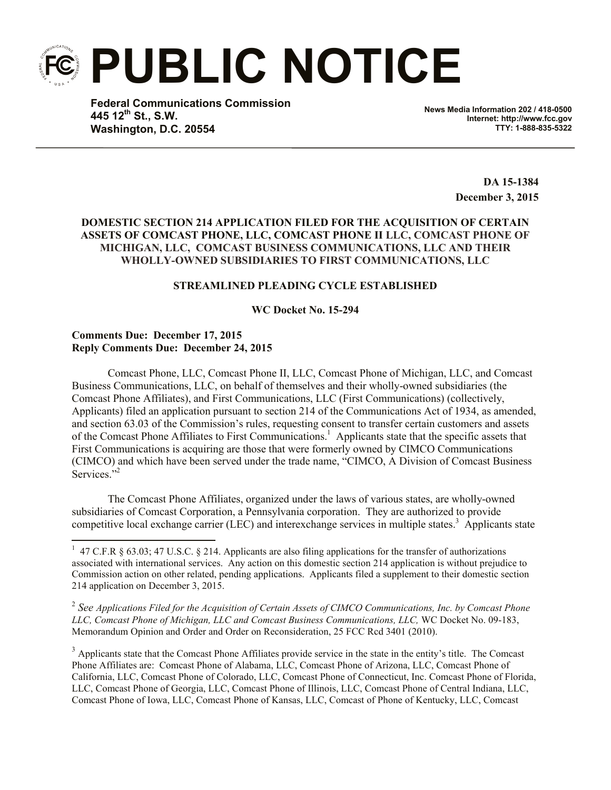**PUBLIC NOTICE**

**Federal Communications Commission 445 12th St., S.W. Washington, D.C. 20554**

**News Media Information 202 / 418-0500 Internet: http://www.fcc.gov TTY: 1-888-835-5322**

> **DA 15-1384 December 3, 2015**

## **DOMESTIC SECTION 214 APPLICATION FILED FOR THE ACQUISITION OF CERTAIN ASSETS OF COMCAST PHONE, LLC, COMCAST PHONE II LLC, COMCAST PHONE OF MICHIGAN, LLC, COMCAST BUSINESS COMMUNICATIONS, LLC AND THEIR WHOLLY-OWNED SUBSIDIARIES TO FIRST COMMUNICATIONS, LLC**

# **STREAMLINED PLEADING CYCLE ESTABLISHED**

#### **WC Docket No. 15-294**

# **Comments Due: December 17, 2015 Reply Comments Due: December 24, 2015**

Comcast Phone, LLC, Comcast Phone II, LLC, Comcast Phone of Michigan, LLC, and Comcast Business Communications, LLC, on behalf of themselves and their wholly-owned subsidiaries (the Comcast Phone Affiliates), and First Communications, LLC (First Communications) (collectively, Applicants) filed an application pursuant to section 214 of the Communications Act of 1934, as amended, and section 63.03 of the Commission's rules, requesting consent to transfer certain customers and assets of the Comcast Phone Affiliates to First Communications.<sup>1</sup> Applicants state that the specific assets that First Communications is acquiring are those that were formerly owned by CIMCO Communications (CIMCO) and which have been served under the trade name, "CIMCO, A Division of Comcast Business Services."<sup>2</sup>

The Comcast Phone Affiliates, organized under the laws of various states, are wholly-owned subsidiaries of Comcast Corporation, a Pennsylvania corporation. They are authorized to provide competitive local exchange carrier (LEC) and interexchange services in multiple states.<sup>3</sup> Applicants state

2 *See Applications Filed for the Acquisition of Certain Assets of CIMCO Communications, Inc. by Comcast Phone LLC, Comcast Phone of Michigan, LLC and Comcast Business Communications, LLC,* WC Docket No. 09-183, Memorandum Opinion and Order and Order on Reconsideration, 25 FCC Rcd 3401 (2010).

<sup>3</sup> Applicants state that the Comcast Phone Affiliates provide service in the state in the entity's title. The Comcast Phone Affiliates are: Comcast Phone of Alabama, LLC, Comcast Phone of Arizona, LLC, Comcast Phone of California, LLC, Comcast Phone of Colorado, LLC, Comcast Phone of Connecticut, Inc. Comcast Phone of Florida, LLC, Comcast Phone of Georgia, LLC, Comcast Phone of Illinois, LLC, Comcast Phone of Central Indiana, LLC, Comcast Phone of Iowa, LLC, Comcast Phone of Kansas, LLC, Comcast of Phone of Kentucky, LLC, Comcast

<sup>&</sup>lt;sup>1</sup> 47 C.F.R § 63.03; 47 U.S.C. § 214. Applicants are also filing applications for the transfer of authorizations associated with international services. Any action on this domestic section 214 application is without prejudice to Commission action on other related, pending applications. Applicants filed a supplement to their domestic section 214 application on December 3, 2015.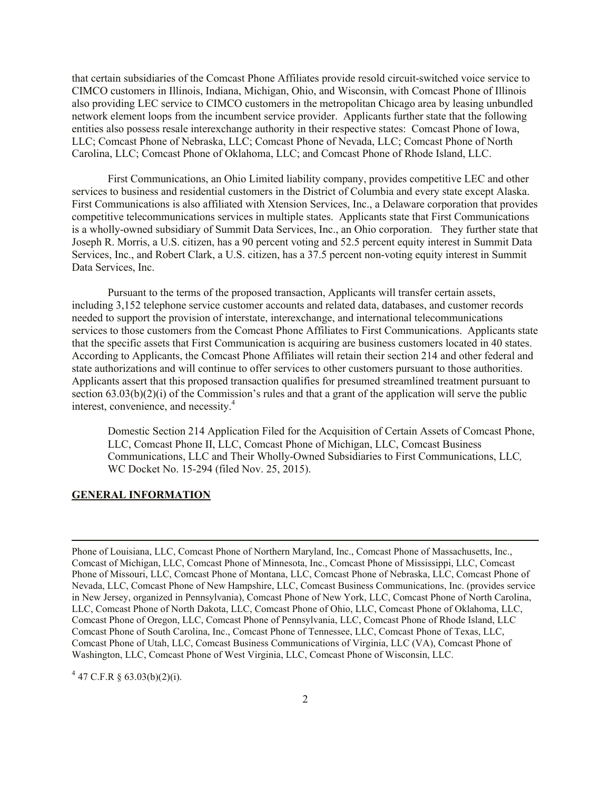that certain subsidiaries of the Comcast Phone Affiliates provide resold circuit-switched voice service to CIMCO customers in Illinois, Indiana, Michigan, Ohio, and Wisconsin, with Comcast Phone of Illinois also providing LEC service to CIMCO customers in the metropolitan Chicago area by leasing unbundled network element loops from the incumbent service provider. Applicants further state that the following entities also possess resale interexchange authority in their respective states: Comcast Phone of Iowa, LLC; Comcast Phone of Nebraska, LLC; Comcast Phone of Nevada, LLC; Comcast Phone of North Carolina, LLC; Comcast Phone of Oklahoma, LLC; and Comcast Phone of Rhode Island, LLC.

First Communications, an Ohio Limited liability company, provides competitive LEC and other services to business and residential customers in the District of Columbia and every state except Alaska. First Communications is also affiliated with Xtension Services, Inc., a Delaware corporation that provides competitive telecommunications services in multiple states. Applicants state that First Communications is a wholly-owned subsidiary of Summit Data Services, Inc., an Ohio corporation. They further state that Joseph R. Morris, a U.S. citizen, has a 90 percent voting and 52.5 percent equity interest in Summit Data Services, Inc., and Robert Clark, a U.S. citizen, has a 37.5 percent non-voting equity interest in Summit Data Services, Inc.

Pursuant to the terms of the proposed transaction, Applicants will transfer certain assets, including 3,152 telephone service customer accounts and related data, databases, and customer records needed to support the provision of interstate, interexchange, and international telecommunications services to those customers from the Comcast Phone Affiliates to First Communications. Applicants state that the specific assets that First Communication is acquiring are business customers located in 40 states. According to Applicants, the Comcast Phone Affiliates will retain their section 214 and other federal and state authorizations and will continue to offer services to other customers pursuant to those authorities. Applicants assert that this proposed transaction qualifies for presumed streamlined treatment pursuant to section  $(63.03(b)(2)(i)$  of the Commission's rules and that a grant of the application will serve the public interest, convenience, and necessity. 4

Domestic Section 214 Application Filed for the Acquisition of Certain Assets of Comcast Phone, LLC, Comcast Phone II, LLC, Comcast Phone of Michigan, LLC, Comcast Business Communications, LLC and Their Wholly-Owned Subsidiaries to First Communications, LLC*,*  WC Docket No. 15-294 (filed Nov. 25, 2015).

#### **GENERAL INFORMATION**

 $\overline{\phantom{a}}$ 

 $4\,$  47 C.F.R § 63.03(b)(2)(i).

Phone of Louisiana, LLC, Comcast Phone of Northern Maryland, Inc., Comcast Phone of Massachusetts, Inc., Comcast of Michigan, LLC, Comcast Phone of Minnesota, Inc., Comcast Phone of Mississippi, LLC, Comcast Phone of Missouri, LLC, Comcast Phone of Montana, LLC, Comcast Phone of Nebraska, LLC, Comcast Phone of Nevada, LLC, Comcast Phone of New Hampshire, LLC, Comcast Business Communications, Inc. (provides service in New Jersey, organized in Pennsylvania), Comcast Phone of New York, LLC, Comcast Phone of North Carolina, LLC, Comcast Phone of North Dakota, LLC, Comcast Phone of Ohio, LLC, Comcast Phone of Oklahoma, LLC, Comcast Phone of Oregon, LLC, Comcast Phone of Pennsylvania, LLC, Comcast Phone of Rhode Island, LLC Comcast Phone of South Carolina, Inc., Comcast Phone of Tennessee, LLC, Comcast Phone of Texas, LLC, Comcast Phone of Utah, LLC, Comcast Business Communications of Virginia, LLC (VA), Comcast Phone of Washington, LLC, Comcast Phone of West Virginia, LLC, Comcast Phone of Wisconsin, LLC.